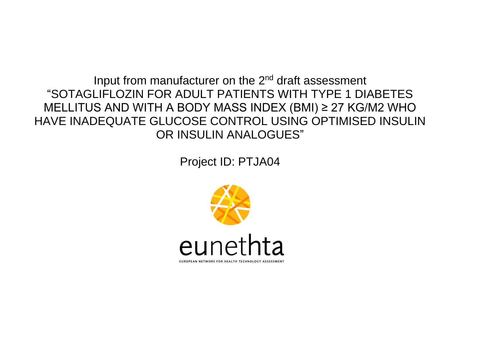Input from manufacturer on the 2<sup>nd</sup> draft assessment "SOTAGLIFLOZIN FOR ADULT PATIENTS WITH TYPE 1 DIABETES MELLITUS AND WITH A BODY MASS INDEX (BMI) ≥ 27 KG/M2 WHO HAVE INADEQUATE GLUCOSE CONTROL USING OPTIMISED INSULIN OR INSULIN ANALOGUES"

Project ID: PTJA04

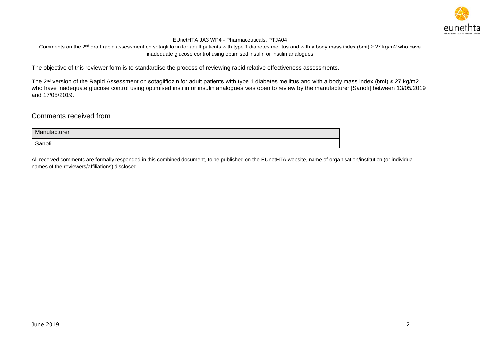

Comments on the 2<sup>nd</sup> draft rapid assessment on sotagliflozin for adult patients with type 1 diabetes mellitus and with a body mass index (bmi) ≥ 27 kg/m2 who have inadequate glucose control using optimised insulin or insulin analogues

The objective of this reviewer form is to standardise the process of reviewing rapid relative effectiveness assessments.

The 2<sup>nd</sup> version of the Rapid Assessment on sotagliflozin for adult patients with type 1 diabetes mellitus and with a body mass index (bmi) ≥ 27 kg/m2 who have inadequate glucose control using optimised insulin or insulin analogues was open to review by the manufacturer [Sanofi] between 13/05/2019 and 17/05/2019.

# Comments received from

| Manufacturer |  |
|--------------|--|
| Sanofi.      |  |

All received comments are formally responded in this combined document, to be published on the EUnetHTA website, name of organisation/institution (or individual names of the reviewers/affiliations) disclosed.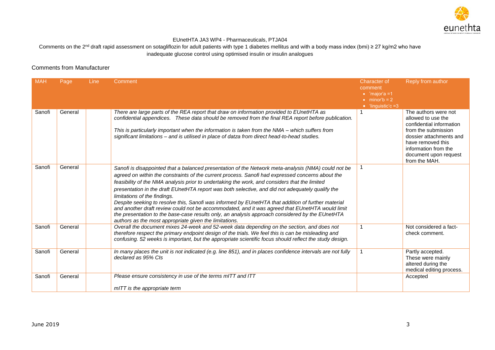

#### Comments on the 2<sup>nd</sup> draft rapid assessment on sotagliflozin for adult patients with type 1 diabetes mellitus and with a body mass index (bmi) ≥ 27 kg/m2 who have inadequate glucose control using optimised insulin or insulin analogues

# Comments from Manufacturer

| <b>MAH</b> | Page    | Line | Comment                                                                                                                                                                                                                                                                                                                                                                                                                                                                                                                                                                                                                                                                                                                                                                                                            | <b>Character of</b><br>comment<br>$\bullet$ 'major'a =1<br>$\bullet$ minor'b = 2<br>$\bullet$ 'linguistic'c =3 | Reply from author                                                                                                                                                                                               |
|------------|---------|------|--------------------------------------------------------------------------------------------------------------------------------------------------------------------------------------------------------------------------------------------------------------------------------------------------------------------------------------------------------------------------------------------------------------------------------------------------------------------------------------------------------------------------------------------------------------------------------------------------------------------------------------------------------------------------------------------------------------------------------------------------------------------------------------------------------------------|----------------------------------------------------------------------------------------------------------------|-----------------------------------------------------------------------------------------------------------------------------------------------------------------------------------------------------------------|
| Sanofi     | General |      | There are large parts of the REA report that draw on information provided to EUnetHTA as<br>confidential appendices. These data should be removed from the final REA report before publication.<br>This is particularly important when the information is taken from the NMA - which suffers from<br>significant limitations - and is utilised in place of datza from direct head-to-head studies.                                                                                                                                                                                                                                                                                                                                                                                                                 |                                                                                                                | The authors were not<br>allowed to use the<br>confidential information<br>from the submission<br>dossier attachments and<br>have removed this<br>information from the<br>document upon request<br>from the MAH. |
| Sanofi     | General |      | Sanofi is disappointed that a balanced presentation of the Network meta-analysis (NMA) could not be<br>agreed on within the constraints of the current process. Sanofi had expressed concerns about the<br>feasibility of the NMA analysis prior to undertaking the work, and considers that the limited<br>presentation in the draft EUnetHTA report was both selective, and did not adequately qualify the<br>limitations of the findings.<br>Despite seeking to resolve this, Sanofi was informed by EUnetHTA that addition of further material<br>and another draft review could not be accommodated, and it was agreed that EUnetHTA would limit<br>the presentation to the base-case results only, an analysis approach considered by the EUnetHTA<br>authors as the most appropriate given the limitations. | -1                                                                                                             |                                                                                                                                                                                                                 |
| Sanofi     | General |      | Overall the document mixes 24-week and 52-week data depending on the section, and does not<br>therefore respect the primary endpoint design of the trials. We feel this is can be misleading and<br>confusing. 52 weeks is important, but the appropriate scientific focus should reflect the study design.                                                                                                                                                                                                                                                                                                                                                                                                                                                                                                        | 1                                                                                                              | Not considered a fact-<br>check comment.                                                                                                                                                                        |
| Sanofi     | General |      | In many places the unit is not indicated (e.g. line 851), and in places confidence intervals are not fully<br>declared as 95% CIs                                                                                                                                                                                                                                                                                                                                                                                                                                                                                                                                                                                                                                                                                  | 1                                                                                                              | Partly accepted.<br>These were mainly<br>altered during the<br>medical editing process.                                                                                                                         |
| Sanofi     | General |      | Please ensure consistency in use of the terms mITT and ITT<br>mITT is the appropriate term                                                                                                                                                                                                                                                                                                                                                                                                                                                                                                                                                                                                                                                                                                                         |                                                                                                                | Accepted                                                                                                                                                                                                        |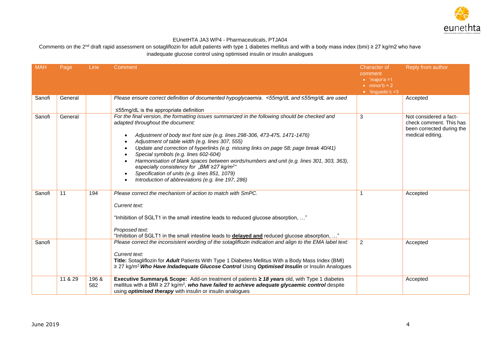

| <b>MAH</b> | Page    | Line  | Comment                                                                                                         | <b>Character of</b>        | Reply from author                             |
|------------|---------|-------|-----------------------------------------------------------------------------------------------------------------|----------------------------|-----------------------------------------------|
|            |         |       |                                                                                                                 | comment                    |                                               |
|            |         |       |                                                                                                                 | $\bullet$ 'major'a =1      |                                               |
|            |         |       |                                                                                                                 | $\bullet$ minor'b = 2      |                                               |
|            |         |       |                                                                                                                 | $\bullet$ 'linguistic'c =3 |                                               |
| Sanofi     | General |       | Please ensure correct definition of documented hypoglycaemia. <55mg/dL and ≤55mg/dL are used                    |                            | Accepted                                      |
|            |         |       | $\leq$ 55mg/dL is the appropriate definition                                                                    |                            |                                               |
| Sanofi     | General |       | For the final version, the formatting issues summarized in the following should be checked and                  | 3                          | Not considered a fact-                        |
|            |         |       | adapted throughout the document:                                                                                |                            | check comment. This has                       |
|            |         |       | Adjustment of body text font size (e.g. lines 298-306, 473-475, 1471-1476)                                      |                            | been corrected during the<br>medical editing. |
|            |         |       | Adjustment of table width (e.g. lines 307, 555)                                                                 |                            |                                               |
|            |         |       | Update and correction of hyperlinks (e.g. missing links on page 58; page break 40/41)                           |                            |                                               |
|            |         |       | Special symbols (e.g. lines 602-604)                                                                            |                            |                                               |
|            |         |       | Harmonisation of blank spaces between words/numbers and unit (e.g. lines 301, 303, 363),                        |                            |                                               |
|            |         |       | especially consistency for "BMI ≥27 kg/m <sup>2"</sup>                                                          |                            |                                               |
|            |         |       | Specification of units (e.g. lines 851, 1079)                                                                   |                            |                                               |
|            |         |       | Introduction of abbreviations (e.g. line 197, 286)                                                              |                            |                                               |
|            |         |       |                                                                                                                 |                            |                                               |
| Sanofi     | 11      | 194   | Please correct the mechanism of action to match with SmPC.                                                      | 1                          | Accepted                                      |
|            |         |       | Current text:                                                                                                   |                            |                                               |
|            |         |       |                                                                                                                 |                            |                                               |
|            |         |       | "Inhibition of SGLT1 in the small intestine leads to reduced glucose absorption, "                              |                            |                                               |
|            |         |       |                                                                                                                 |                            |                                               |
|            |         |       | Proposed text:                                                                                                  |                            |                                               |
|            |         |       | "Inhibition of SGLT1 in the small intestine leads to delayed and reduced glucose absorption, "                  |                            |                                               |
| Sanofi     |         |       | Please correct the inconsistent wording of the sotagliflozin indication and align to the EMA label text:        | $\overline{2}$             | Accepted                                      |
|            |         |       | Current text:                                                                                                   |                            |                                               |
|            |         |       | Title: Sotagliflozin for Adult Patients With Type 1 Diabetes Mellitus With a Body Mass Index (BMI)              |                            |                                               |
|            |         |       | ≥ 27 kg/m <sup>2</sup> Who Have Indadequate Glucose Control Using Optimised Insulin or Insulin Analogues        |                            |                                               |
|            |         |       |                                                                                                                 |                            |                                               |
|            | 11 & 29 | 196 & | Executive Summary& Scope: Add-on treatment of patients ≥ 18 years old, with Type 1 diabetes                     |                            | Accepted                                      |
|            |         | 582   | mellitus with a BMI $\geq$ 27 kg/m <sup>2</sup> , who have failed to achieve adequate glycaemic control despite |                            |                                               |
|            |         |       | using <i>optimised therapy</i> with insulin or insulin analogues                                                |                            |                                               |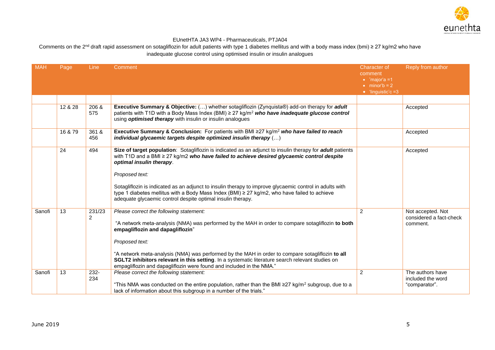

| <b>MAH</b> | Page    | Line         | Comment                                                                                                                                                                                                                                                                             | <b>Character of</b><br>comment<br>$\bullet$ 'major'a =1 | Reply from author                                        |
|------------|---------|--------------|-------------------------------------------------------------------------------------------------------------------------------------------------------------------------------------------------------------------------------------------------------------------------------------|---------------------------------------------------------|----------------------------------------------------------|
|            |         |              |                                                                                                                                                                                                                                                                                     | $\bullet$ minor'b = 2<br>• 'linguistic'c $=3$           |                                                          |
|            |         |              |                                                                                                                                                                                                                                                                                     |                                                         |                                                          |
|            | 12 & 28 | 206 &<br>575 | Executive Summary & Objective: () whether sotagliflozin (Zynquista®) add-on therapy for adult<br>patients with T1D with a Body Mass Index (BMI) $\geq$ 27 kg/m <sup>2</sup> who have inadequate glucose control<br>using <i>optimised therapy</i> with insulin or insulin analogues |                                                         | Accepted                                                 |
|            | 16 & 79 | 361 &<br>456 | Executive Summary & Conclusion: For patients with BMI $\geq$ 27 kg/m <sup>2</sup> who have failed to reach<br>individual glycaemic targets despite optimized insulin therapy ()                                                                                                     |                                                         | Accepted                                                 |
|            | 24      | 494          | Size of target population: Sotagliflozin is indicated as an adjunct to insulin therapy for adult patients<br>with T1D and a BMI ≥ 27 kg/m2 who have failed to achieve desired glycaemic control despite<br>optimal insulin therapy.                                                 |                                                         | Accepted                                                 |
|            |         |              | Proposed text:                                                                                                                                                                                                                                                                      |                                                         |                                                          |
|            |         |              | Sotagliflozin is indicated as an adjunct to insulin therapy to improve glycaemic control in adults with<br>type 1 diabetes mellitus with a Body Mass Index (BMI) $\geq$ 27 kg/m2, who have failed to achieve<br>adequate glycaemic control despite optimal insulin therapy.         |                                                         |                                                          |
| Sanofi     | 13      | 231/23<br>2  | Please correct the following statement:<br>"A network meta-analysis (NMA) was performed by the MAH in order to compare sotagliflozin to both<br>empagliflozin and dapagliflozin"                                                                                                    | $\overline{2}$                                          | Not accepted. Not<br>considered a fact-check<br>comment. |
|            |         |              | Proposed text:                                                                                                                                                                                                                                                                      |                                                         |                                                          |
|            |         |              | "A network meta-analysis (NMA) was performed by the MAH in order to compare sotagliflozin to all<br>SGLT2 inhibitors relevant in this setting. In a systematic literature search relevant studies on<br>empagliflozin and dapagliflozin were found and included in the NMA."        |                                                         |                                                          |
| Sanofi     | 13      | 232-<br>234  | Please correct the following statement:<br>"This NMA was conducted on the entire population, rather than the BMI $\geq$ 27 kg/m <sup>2</sup> subgroup, due to a<br>lack of information about this subgroup in a number of the trials."                                              | 2                                                       | The authors have<br>included the word<br>"comparator".   |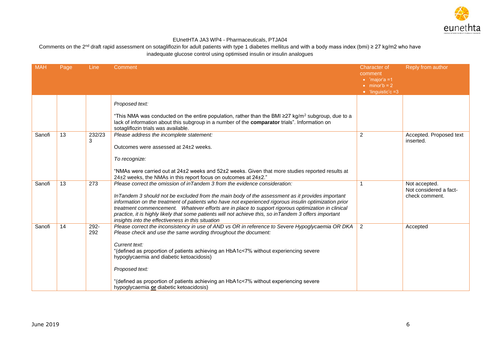

| <b>MAH</b> | Page | Line        | Comment                                                                                                                                                                                                                                                                                                                                                                                                                                                                                                                                                       | <b>Character of</b><br>comment<br>$\bullet$ 'major'a =1<br>$\bullet$ minor'b = 2<br>$\bullet$ 'linguistic'c =3 | Reply from author                                         |
|------------|------|-------------|---------------------------------------------------------------------------------------------------------------------------------------------------------------------------------------------------------------------------------------------------------------------------------------------------------------------------------------------------------------------------------------------------------------------------------------------------------------------------------------------------------------------------------------------------------------|----------------------------------------------------------------------------------------------------------------|-----------------------------------------------------------|
|            |      |             | Proposed text:<br>"This NMA was conducted on the entire population, rather than the BMI $\geq$ 27 kg/m <sup>2</sup> subgroup, due to a<br>lack of information about this subgroup in a number of the comparator trials". Information on<br>sotagliflozin trials was available.                                                                                                                                                                                                                                                                                |                                                                                                                |                                                           |
| Sanofi     | 13   | 232/23<br>3 | Please address the incomplete statement:<br>Outcomes were assessed at 24±2 weeks.<br>To recognize:<br>"NMAs were carried out at $24\pm 2$ weeks and $52\pm 2$ weeks. Given that more studies reported results at<br>24±2 weeks, the NMAs in this report focus on outcomes at 24±2."                                                                                                                                                                                                                                                                           | 2                                                                                                              | Accepted. Proposed text<br>inserted.                      |
| Sanofi     | 13   | 273         | Please correct the omission of inTandem 3 from the evidence consideration:<br>In Tandem 3 should not be excluded from the main body of the assessment as it provides important<br>information on the treatment of patients who have not experienced rigorous insulin optimization prior<br>treatment commencement. Whatever efforts are in place to support rigorous optimization in clinical<br>practice, it is highly likely that some patients will not achieve this, so in Tandem 3 offers important<br>insights into the effectiveness in this situation |                                                                                                                | Not accepted.<br>Not considered a fact-<br>check comment. |
| Sanofi     | 14   | 292-<br>292 | Please correct the inconsistency in use of AND vs OR in reference to Severe Hypoglycaemia OR DKA<br>Please check and use the same wording throughout the document:<br>Current text:<br>"(defined as proportion of patients achieving an HbA1c<7% without experiencing severe<br>hypoglycaemia and diabetic ketoacidosis)<br>Proposed text:<br>"(defined as proportion of patients achieving an HbA1c<7% without experiencing severe<br>hypoglycaemia or diabetic ketoacidosis)                                                                                | 2                                                                                                              | Accepted                                                  |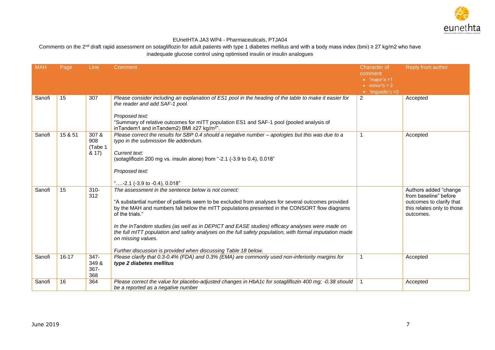

| <b>MAH</b> | Page      | Line                                | Comment                                                                                                                                                                                                                                                                                                                                                                                                                                                                                                                                                                            | <b>Character of</b><br>comment<br>$\bullet$ 'major'a =1<br>$\bullet$ minor'b = 2<br>• 'linguistic'c $=3$ | Reply from author                                                                                                     |
|------------|-----------|-------------------------------------|------------------------------------------------------------------------------------------------------------------------------------------------------------------------------------------------------------------------------------------------------------------------------------------------------------------------------------------------------------------------------------------------------------------------------------------------------------------------------------------------------------------------------------------------------------------------------------|----------------------------------------------------------------------------------------------------------|-----------------------------------------------------------------------------------------------------------------------|
| Sanofi     | 15        | 307                                 | Please consider including an explanation of ES1 pool in the heading of the table to make it easier for<br>the reader and add SAF-1 pool.<br>Proposed text:<br>"Summary of relative outcomes for mITT population ES1 and SAF-1 pool (pooled analysis of<br>inTandem1 and inTandem2) BMI ≥27 kg/m <sup>2</sup> ".                                                                                                                                                                                                                                                                    | 2                                                                                                        | Accepted                                                                                                              |
| Sanofi     | 15 & 51   | 307 &<br>908<br>(Tabe 1<br>$8.17$ ) | Please correct the results for SBP 0.4 should a negative number - apologies but this was due to a<br>typo in the submission file addendum.<br>Current text:<br>(sotagliflozin 200 mg vs. insulin alone) from "-2.1 (-3.9 to 0.4), 0.018"<br>Proposed text:<br>"-2.1 (-3.9 to -0.4), 0.018"                                                                                                                                                                                                                                                                                         | 1                                                                                                        | Accepted                                                                                                              |
| Sanofi     | 15        | $310 -$<br>312                      | The assessment in the sentence below is not correct:<br>"A substantial number of patients seem to be excluded from analyses for several outcomes provided<br>by the MAH and numbers fall below the mITT populations presented in the CONSORT flow diagrams<br>of the trials."<br>In the InTandem studies (as well as in DEPICT and EASE studies) efficacy analyses were made on<br>the full mITT population and safety analyses on the full safety population, with formal imputation made<br>on missing values.<br>Further discussion is provided when discussing Table 18 below. |                                                                                                          | Authors added "change<br>from baseline" before<br>outcomes to clarify that<br>this relates only to those<br>outcomes. |
| Sanofi     | $16 - 17$ | $347 -$<br>349 &<br>$367 -$<br>368  | Please clarify that 0.3-0.4% (FDA) and 0.3% (EMA) are commonly used non-inferiority margins for<br>type 2 diabetes mellitus                                                                                                                                                                                                                                                                                                                                                                                                                                                        | $\overline{1}$                                                                                           | Accepted                                                                                                              |
| Sanofi     | 16        | 364                                 | Please correct the value for placebo-adjusted changes in HbA1c for sotagliflozin 400 mg; -0.38 should<br>be a reported as a negative number                                                                                                                                                                                                                                                                                                                                                                                                                                        | $\overline{1}$                                                                                           | Accepted                                                                                                              |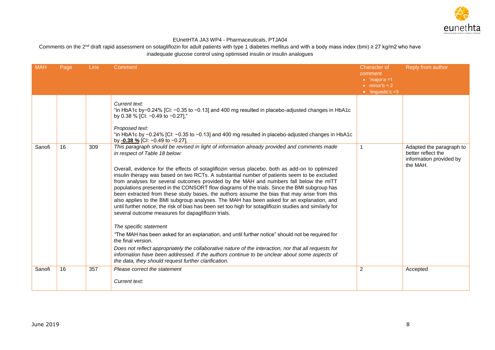

| <b>MAH</b> | Page | <b>Line</b> | Comment                                                                                                                                                                                                                                                                                                                                                                                                                                                                                                                                                                                                                                                                                                                                                                                                                                                                                                                                                                                                                                                                                                                                                                                                     | <b>Character of</b><br>comment<br>$\bullet$ 'major'a =1<br>$\bullet$ minor'b = 2<br>$\bullet$ 'linguistic'c =3 | Reply from author                                         |
|------------|------|-------------|-------------------------------------------------------------------------------------------------------------------------------------------------------------------------------------------------------------------------------------------------------------------------------------------------------------------------------------------------------------------------------------------------------------------------------------------------------------------------------------------------------------------------------------------------------------------------------------------------------------------------------------------------------------------------------------------------------------------------------------------------------------------------------------------------------------------------------------------------------------------------------------------------------------------------------------------------------------------------------------------------------------------------------------------------------------------------------------------------------------------------------------------------------------------------------------------------------------|----------------------------------------------------------------------------------------------------------------|-----------------------------------------------------------|
| Sanofi     | 16   | 309         | Current text:<br>"in HbA1c by-0.24% [CI: -0.35 to -0.13] and 400 mg resulted in placebo-adjusted changes in HbA1c<br>by 0.38 % [CI: -0.49 to -0.27],"<br>Proposed text:<br>"in HbA1c by -0.24% [Cl: -0.35 to -0.13] and 400 mg resulted in placebo-adjusted changes in HbA1c<br>by -0.38 % [CI: $-0.49$ to $-0.27$ ],<br>This paragraph should be revised in light of information already provided and comments made                                                                                                                                                                                                                                                                                                                                                                                                                                                                                                                                                                                                                                                                                                                                                                                        | $\mathbf{1}$                                                                                                   | Adapted the paragraph to                                  |
|            |      |             | in respect of Table 18 below:<br>Overall, evidence for the effects of sotagliflozin versus placebo, both as add-on to optimized<br>insulin therapy was based on two RCTs. A substantial number of patients seem to be excluded<br>from analyses for several outcomes provided by the MAH and numbers fall below the mITT<br>populations presented in the CONSORT flow diagrams of the trials. Since the BMI subgroup has<br>been extracted from these study bases, the authors assume the bias that may arise from this<br>also applies to the BMI subgroup analyses. The MAH has been asked for an explanation, and<br>until further notice, the risk of bias has been set too high for sotagliflozin studies and similarly for<br>several outcome measures for dapagliflozin trials.<br>The specific statement<br>"The MAH has been asked for an explanation, and until further notice" should not be required for<br>the final version.<br>Does not reflect appropriately the collaborative nature of the interaction, nor that all requests for<br>information have been addressed. If the authors continue to be unclear about some aspects of<br>the data, they should request further clarification. |                                                                                                                | better reflect the<br>information provided by<br>the MAH. |
| Sanofi     | 16   | 357         | Please correct the statement<br>Current text:                                                                                                                                                                                                                                                                                                                                                                                                                                                                                                                                                                                                                                                                                                                                                                                                                                                                                                                                                                                                                                                                                                                                                               | 2                                                                                                              | Accepted                                                  |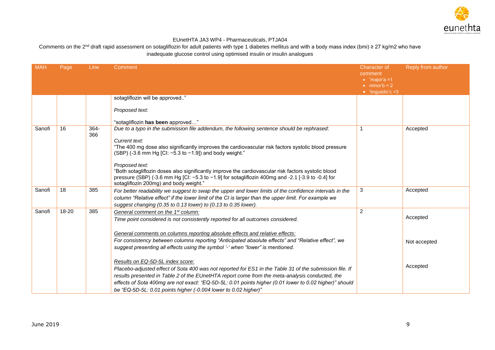

| <b>MAH</b> | Page  | <b>Line</b> | Comment                                                                                                                                                              | <b>Character of</b><br>comment<br>$\bullet$ 'major'a =1 | Reply from author |
|------------|-------|-------------|----------------------------------------------------------------------------------------------------------------------------------------------------------------------|---------------------------------------------------------|-------------------|
|            |       |             |                                                                                                                                                                      | $\bullet$ minor'b = 2<br>$\bullet$ 'linguistic'c =3     |                   |
|            |       |             | sotagliflozin will be approved"                                                                                                                                      |                                                         |                   |
|            |       |             | Proposed text:                                                                                                                                                       |                                                         |                   |
| Sanofi     | 16    | $364 -$     | "sotagliflozin has been approved"<br>Due to a typo in the submission file addendum, the following sentence should be rephrased:                                      | 1                                                       | Accepted          |
|            |       | 366         |                                                                                                                                                                      |                                                         |                   |
|            |       |             | Current text:                                                                                                                                                        |                                                         |                   |
|            |       |             | "The 400 mg dose also significantly improves the cardiovascular risk factors systolic blood pressure<br>(SBP) (-3.6 mm Hg [CI: $-5.3$ to $-1.9$ ]) and body weight." |                                                         |                   |
|            |       |             | Proposed text:                                                                                                                                                       |                                                         |                   |
|            |       |             | "Both sotagliflozin doses also significantly improve the cardiovascular risk factors systolic blood                                                                  |                                                         |                   |
|            |       |             | pressure (SBP) (-3.6 mm Hg [CI: $-5.3$ to $-1.9$ ] for sotaglifiozin 400mg and -2.1 [-3.9 to -0.4] for<br>sotagliflozin 200mg) and body weight."                     |                                                         |                   |
| Sanofi     | 18    | 385         | For better readability we suggest to swap the upper and lower limits of the confidence intervals in the                                                              | 3                                                       | Accepted          |
|            |       |             | column "Relative effect" if the lower limit of the CI is larger than the upper limit. For example we                                                                 |                                                         |                   |
|            |       |             | suggest changing (0.35 to 0.13 lower) to (0.13 to 0.35 lower).                                                                                                       |                                                         |                   |
| Sanofi     | 18-20 | 385         | General comment on the 1 <sup>st</sup> column:                                                                                                                       | 2                                                       | Accepted          |
|            |       |             | Time point considered is not consistently reported for all outcomes considered.                                                                                      |                                                         |                   |
|            |       |             | General comments on columns reporting absolute effects and relative effects:                                                                                         |                                                         |                   |
|            |       |             | For consistency between columns reporting "Anticipated absolute effects" and "Relative effect", we                                                                   |                                                         | Not accepted      |
|            |       |             | suggest presenting all effects using the symbol '-' when "lower" is mentioned.                                                                                       |                                                         |                   |
|            |       |             |                                                                                                                                                                      |                                                         |                   |
|            |       |             | Results on EQ-5D-5L index score:                                                                                                                                     |                                                         | Accepted          |
|            |       |             | Placebo-adjusted effect of Sota 400 was not reported for ES1 in the Table 31 of the submission file. If                                                              |                                                         |                   |
|            |       |             | results presented in Table 2 of the EUnetHTA report come from the meta-analysis conducted, the                                                                       |                                                         |                   |
|            |       |             | effects of Sota 400mg are not exact: "EQ-5D-5L: 0.01 points higher (0.01 lower to 0.02 higher)" should                                                               |                                                         |                   |
|            |       |             | be "EQ-5D-5L: 0.01 points higher (-0.004 lower to 0.02 higher)"                                                                                                      |                                                         |                   |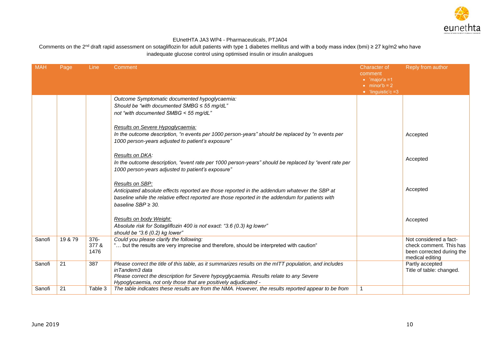

| <b>MAH</b> | Page    | Line                     | Comment                                                                                                                                                                                                                                                                              | Character of<br>comment<br>$\bullet$ 'major'a =1<br>$\bullet$ minor'b = 2<br>$\bullet$ 'linguistic'c =3 | Reply from author                                                                                 |
|------------|---------|--------------------------|--------------------------------------------------------------------------------------------------------------------------------------------------------------------------------------------------------------------------------------------------------------------------------------|---------------------------------------------------------------------------------------------------------|---------------------------------------------------------------------------------------------------|
|            |         |                          | Outcome Symptomatic documented hypoglycaemia:<br>Should be "with documented SMBG $\leq$ 55 mg/dL"<br>not "with documented SMBG < 55 mg/dL"                                                                                                                                           |                                                                                                         |                                                                                                   |
|            |         |                          | Results on Severe Hypoglycaemia:<br>In the outcome description, "n events per 1000 person-years" should be replaced by "n events per<br>1000 person-years adjusted to patient's exposure"                                                                                            |                                                                                                         | Accepted                                                                                          |
|            |         |                          | Results on DKA:<br>In the outcome description, "event rate per 1000 person-years" should be replaced by "event rate per<br>1000 person-years adjusted to patient's exposure"                                                                                                         |                                                                                                         | Accepted                                                                                          |
|            |         |                          | Results on SBP:<br>Anticipated absolute effects reported are those reported in the addendum whatever the SBP at<br>baseline while the relative effect reported are those reported in the addendum for patients with<br>baseline $SBP \geq 30$ .                                      |                                                                                                         | Accepted                                                                                          |
|            |         |                          | Results on body Weight:<br>Absolute risk for Sotagliflozin 400 is not exact: "3.6 (0.3) kg lower"<br>should be "3.6 $(0.2)$ kg lower"                                                                                                                                                |                                                                                                         | Accepted                                                                                          |
| Sanofi     | 19 & 79 | $376 -$<br>377 &<br>1476 | Could you please clarify the following:<br>" but the results are very imprecise and therefore, should be interpreted with caution"                                                                                                                                                   |                                                                                                         | Not considered a fact-<br>check comment. This has<br>been corrected during the<br>medical editing |
| Sanofi     | 21      | 387                      | Please correct the title of this table, as it summarizes results on the mITT population, and includes<br>inTandem3 data<br>Please correct the description for Severe hypoyglycaemia. Results relate to any Severe<br>Hypoglycaemia, not only those that are positively adjudicated - |                                                                                                         | Partly accepted<br>Title of table: changed.                                                       |
| Sanofi     | 21      | Table 3                  | The table indicates these results are from the NMA. However, the results reported appear to be from                                                                                                                                                                                  | 1                                                                                                       |                                                                                                   |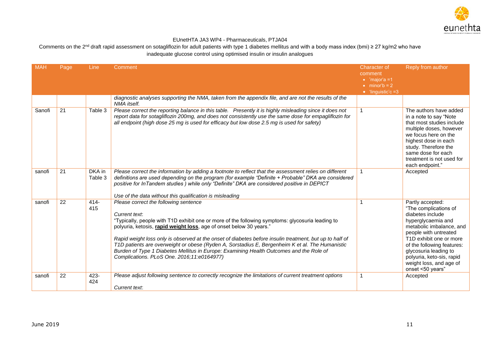

| <b>MAH</b> | Page | Line              | Comment                                                                                                                                                                                                                                                                                                                                                                                                                                                                                                                                                                                  | <b>Character of</b><br>comment<br>$\bullet$ 'major'a =1<br>$\bullet$ minor'b = 2 | Reply from author                                                                                                                                                                                                                                                                                                   |
|------------|------|-------------------|------------------------------------------------------------------------------------------------------------------------------------------------------------------------------------------------------------------------------------------------------------------------------------------------------------------------------------------------------------------------------------------------------------------------------------------------------------------------------------------------------------------------------------------------------------------------------------------|----------------------------------------------------------------------------------|---------------------------------------------------------------------------------------------------------------------------------------------------------------------------------------------------------------------------------------------------------------------------------------------------------------------|
|            |      |                   |                                                                                                                                                                                                                                                                                                                                                                                                                                                                                                                                                                                          | $\bullet$ 'linguistic'c =3                                                       |                                                                                                                                                                                                                                                                                                                     |
|            |      |                   | diagnostic analyses supporting the NMA, taken from the appendix file, and are not the results of the<br>NMA itself.                                                                                                                                                                                                                                                                                                                                                                                                                                                                      |                                                                                  |                                                                                                                                                                                                                                                                                                                     |
| Sanofi     | 21   | Table 3           | Please correct the reporting balance in this table. Presently it is highly misleading since it does not<br>report data for sotagliflozin 200mg, and does not consistently use the same dose for empagliflozin for<br>all endpoint (high dose 25 mg is used for efficacy but low dose 2.5 mg is used for safety)                                                                                                                                                                                                                                                                          |                                                                                  | The authors have added<br>in a note to say "Note"<br>that most studies include<br>multiple doses, however<br>we focus here on the<br>highest dose in each<br>study. Therefore the<br>same dose for each<br>treatment is not used for<br>each endpoint."                                                             |
| sanofi     | 21   | DKA in<br>Table 3 | Please correct the information by adding a footnote to reflect that the assessment relies on different<br>definitions are used depending on the program (for example "Definite + Probable" DKA are considered<br>positive for InTandem studies) while only "Definite" DKA are considered positive in DEPICT<br>Use of the data without this qualification is misleading                                                                                                                                                                                                                  |                                                                                  | Accepted                                                                                                                                                                                                                                                                                                            |
| sanofi     | 22   | $414 -$<br>415    | Please correct the following sentence<br>Current text:<br>"Typically, people with T1D exhibit one or more of the following symptoms: glycosuria leading to<br>polyuria, ketosis, rapid weight loss, age of onset below 30 years."<br>Rapid weight loss only is observed at the onset of diabetes before insulin treatment, but up to half of<br>T1D patients are overweight or obese (Ryden A, Sorstadius E, Bergenheim K et al. The Humanistic<br>Burden of Type 1 Diabetes Mellitus in Europe: Examining Health Outcomes and the Role of<br>Complications. PLoS One. 2016;11:e0164977) |                                                                                  | Partly accepted:<br>"The complications of<br>diabetes include<br>hyperglycaemia and<br>metabolic imbalance, and<br>people with untreated<br>T <sub>1</sub> D exhibit one or more<br>of the following features:<br>glycosuria leading to<br>polyuria, keto-sis, rapid<br>weight loss, and age of<br>onset <50 years" |
| sanofi     | 22   | $423 -$<br>424    | Please adjust following sentence to correctly recognize the limitations of current treatment options<br>Current text:                                                                                                                                                                                                                                                                                                                                                                                                                                                                    | 1                                                                                | Accepted                                                                                                                                                                                                                                                                                                            |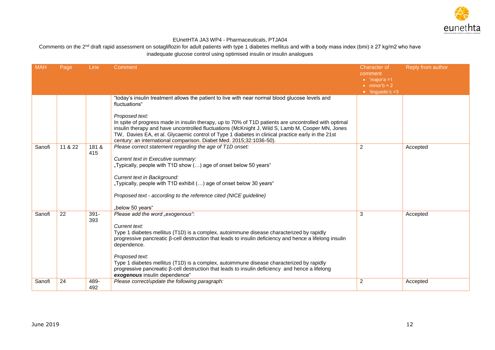

| <b>MAH</b> | Page    | Line         | Comment                                                                                                                                                                                                                                                                                                                                                                                                                                                                                      | <b>Character of</b><br>comment<br>$\bullet$ 'major'a =1 | Reply from author |
|------------|---------|--------------|----------------------------------------------------------------------------------------------------------------------------------------------------------------------------------------------------------------------------------------------------------------------------------------------------------------------------------------------------------------------------------------------------------------------------------------------------------------------------------------------|---------------------------------------------------------|-------------------|
|            |         |              |                                                                                                                                                                                                                                                                                                                                                                                                                                                                                              | $\bullet$ minor'b = 2<br>• 'linguistic'c $=3$           |                   |
|            |         |              | "today's insulin treatment allows the patient to live with near normal blood glucose levels and<br>fluctuations"                                                                                                                                                                                                                                                                                                                                                                             |                                                         |                   |
|            |         |              | Proposed text:<br>In spite of progress made in insulin therapy, up to 70% of T1D patients are uncontrolled with optimal<br>insulin therapy and have uncontrolled fluctuations (McKnight J, Wild S, Lamb M, Cooper MN, Jones<br>TW, Davies EA, et al. Glycaemic control of Type 1 diabetes in clinical practice early in the 21st<br>century: an international comparison. Diabet Med. 2015;32:1036-50).                                                                                      |                                                         |                   |
| Sanofi     | 11 & 22 | 181 &<br>415 | Please correct statement regarding the age of T1D onset:<br>Current text in Executive summary:<br>"Typically, people with T1D show () age of onset below 50 years"<br>Current text in Background:<br>"Typically, people with T1D exhibit () age of onset below 30 years"<br>Proposed text - according to the reference cited (NICE guideline)                                                                                                                                                | $\overline{2}$                                          | Accepted          |
| Sanofi     | 22      | $391 -$      | "below 50 years"<br>Please add the word "exogenous":                                                                                                                                                                                                                                                                                                                                                                                                                                         | 3                                                       | Accepted          |
|            |         | 393          | Current text:<br>Type 1 diabetes mellitus (T1D) is a complex, autoimmune disease characterized by rapidly<br>progressive pancreatic $\beta$ -cell destruction that leads to insulin deficiency and hence a lifelong insulin<br>dependence.<br>Proposed text:<br>Type 1 diabetes mellitus (T1D) is a complex, autoimmune disease characterized by rapidly<br>progressive pancreatic β-cell destruction that leads to insulin deficiency and hence a lifelong<br>exogenous insulin dependence" |                                                         |                   |
| Sanofi     | 24      | 489-<br>492  | Please correct/update the following paragraph:                                                                                                                                                                                                                                                                                                                                                                                                                                               | $\overline{2}$                                          | Accepted          |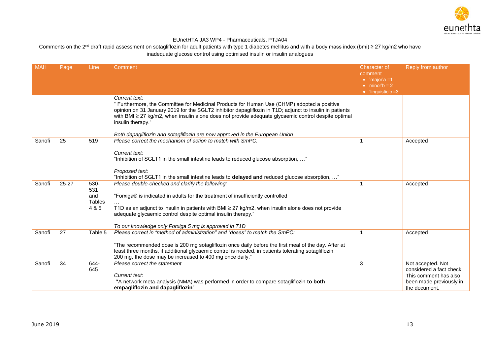

| <b>MAH</b> | Page      | <b>Line</b>                           | Comment                                                                                                                                                                                                                                                                                                                                                                                                                                 | <b>Character of</b><br>comment<br>$\bullet$ 'major'a =1 | Reply from author                                                                                                  |
|------------|-----------|---------------------------------------|-----------------------------------------------------------------------------------------------------------------------------------------------------------------------------------------------------------------------------------------------------------------------------------------------------------------------------------------------------------------------------------------------------------------------------------------|---------------------------------------------------------|--------------------------------------------------------------------------------------------------------------------|
|            |           |                                       |                                                                                                                                                                                                                                                                                                                                                                                                                                         | $\bullet$ minor'b = 2<br>$\bullet$ 'linguistic'c =3     |                                                                                                                    |
|            |           |                                       | Current text:<br>" Furthermore, the Committee for Medicinal Products for Human Use (CHMP) adopted a positive<br>opinion on 31 January 2019 for the SGLT2 inhibitor dapagliflozin in T1D; adjunct to insulin in patients<br>with BMI $\geq$ 27 kg/m2, when insulin alone does not provide adequate glycaemic control despite optimal<br>insulin therapy."<br>Both dapagliflozin and sotagliflozin are now approved in the European Union |                                                         |                                                                                                                    |
| Sanofi     | 25        | 519                                   | Please correct the mechanism of action to match with SmPC.<br>Current text:<br>"Inhibition of SGLT1 in the small intestine leads to reduced glucose absorption, "<br>Proposed text:<br>"Inhibition of SGLT1 in the small intestine leads to <b>delayed and</b> reduced glucose absorption, "                                                                                                                                            |                                                         | Accepted                                                                                                           |
| Sanofi     | $25 - 27$ | 530-<br>531<br>and<br>Tables<br>4 & 5 | Please double-checked and clarify the following:<br>"Forxiga® is indicated in adults for the treatment of insufficiently controlled<br>T1D as an adjunct to insulin in patients with BMI $\geq$ 27 kg/m2, when insulin alone does not provide<br>adequate glycaemic control despite optimal insulin therapy."<br>To our knowledge only Forxiga 5 mg is approved in T1D                                                                  | 1                                                       | Accepted                                                                                                           |
| Sanofi     | 27        | Table 5                               | Please correct in "method of administration" and "doses" to match the SmPC:<br>"The recommended dose is 200 mg sotagliflozin once daily before the first meal of the day. After at<br>least three months, if additional glycaemic control is needed, in patients tolerating sotagliflozin<br>200 mg, the dose may be increased to 400 mg once daily."                                                                                   | 1                                                       | Accepted                                                                                                           |
| Sanofi     | 34        | 644-<br>645                           | Please correct the statement<br>Current text:<br>"A network meta-analysis (NMA) was performed in order to compare sotagliflozin to both<br>empagliflozin and dapagliflozin"                                                                                                                                                                                                                                                             | 3                                                       | Not accepted. Not<br>considered a fact check.<br>This comment has also<br>been made previously in<br>the document. |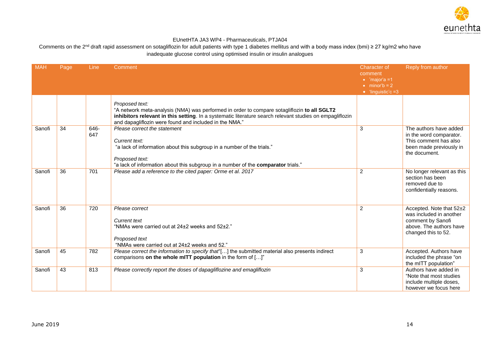

| <b>MAH</b> | Page | Line        | Comment                                                                                                                                                                                                                                                                             | <b>Character of</b><br>comment<br>$\bullet$ 'major'a =1<br>$\bullet$ minor'b = 2<br>$\bullet$ 'linguistic'c =3 | Reply from author                                                                                                          |
|------------|------|-------------|-------------------------------------------------------------------------------------------------------------------------------------------------------------------------------------------------------------------------------------------------------------------------------------|----------------------------------------------------------------------------------------------------------------|----------------------------------------------------------------------------------------------------------------------------|
|            |      |             | Proposed text:<br>"A network meta-analysis (NMA) was performed in order to compare sotagliflozin to all SGLT2<br>inhibitors relevant in this setting. In a systematic literature search relevant studies on empagliflozin<br>and dapagliflozin were found and included in the NMA." |                                                                                                                |                                                                                                                            |
| Sanofi     | 34   | 646-<br>647 | Please correct the statement<br>Current text:<br>"a lack of information about this subgroup in a number of the trials."<br>Proposed text:<br>"a lack of information about this subgroup in a number of the comparator trials."                                                      | 3                                                                                                              | The authors have added<br>in the word comparator.<br>This comment has also<br>been made previously in<br>the document.     |
| Sanofi     | 36   | 701         | Please add a reference to the cited paper: Orme et al. 2017                                                                                                                                                                                                                         | $\overline{2}$                                                                                                 | No longer relevant as this<br>section has been<br>removed due to<br>confidentially reasons.                                |
| Sanofi     | 36   | 720         | Please correct<br><b>Current text</b><br>"NMAs were carried out at 24±2 weeks and 52±2."<br>Proposed text<br>"NMAs were carried out at 24±2 weeks and 52."                                                                                                                          | 2                                                                                                              | Accepted. Note that 52±2<br>was included in another<br>comment by Sanofi<br>above. The authors have<br>changed this to 52. |
| Sanofi     | 45   | 782         | Please correct the information to specify that"[] the submitted material also presents indirect<br>comparisons on the whole mITT population in the form of []"                                                                                                                      | 3                                                                                                              | Accepted. Authors have<br>included the phrase "on<br>the mITT population"                                                  |
| Sanofi     | 43   | 813         | Please correctly report the doses of dapagliflozine and emagliflozin                                                                                                                                                                                                                | 3                                                                                                              | Authors have added in<br>"Note that most studies<br>include multiple doses,<br>however we focus here                       |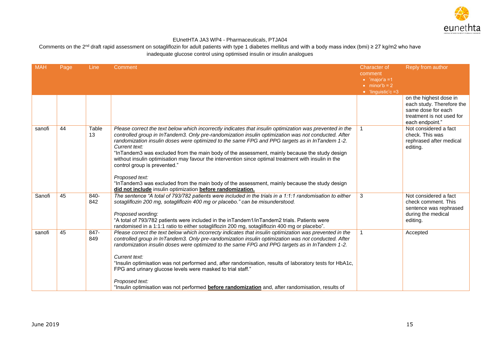

| <b>MAH</b> | Page | Line        | Comment                                                                                                                                                                                                                                                                                                                                                                                                                                                                                                                                                                                                                                                                                                                                                      | <b>Character of</b><br>comment<br>$\bullet$ 'major'a =1 | Reply from author                                                                                                         |
|------------|------|-------------|--------------------------------------------------------------------------------------------------------------------------------------------------------------------------------------------------------------------------------------------------------------------------------------------------------------------------------------------------------------------------------------------------------------------------------------------------------------------------------------------------------------------------------------------------------------------------------------------------------------------------------------------------------------------------------------------------------------------------------------------------------------|---------------------------------------------------------|---------------------------------------------------------------------------------------------------------------------------|
|            |      |             |                                                                                                                                                                                                                                                                                                                                                                                                                                                                                                                                                                                                                                                                                                                                                              | $\bullet$ minor'b = 2<br>$\bullet$ 'linguistic'c =3     |                                                                                                                           |
|            |      |             |                                                                                                                                                                                                                                                                                                                                                                                                                                                                                                                                                                                                                                                                                                                                                              |                                                         | on the highest dose in<br>each study. Therefore the<br>same dose for each<br>treatment is not used for<br>each endpoint." |
| sanofi     | 44   | Table<br>13 | Please correct the text below which incorrectly indicates that insulin optimization was prevented in the<br>controlled group in InTandem3. Only pre-randomization insulin optimization was not conducted. After<br>randomization insulin doses were optimized to the same FPG and PPG targets as in InTandem 1-2.<br>Current text:<br>"InTandem3 was excluded from the main body of the assessment, mainly because the study design<br>without insulin optimisation may favour the intervention since optimal treatment with insulin in the<br>control group is prevented."<br>Proposed text:<br>"InTandem3 was excluded from the main body of the assessment, mainly because the study design<br>did not include insulin optimization before randomization. |                                                         | Not considered a fact<br>check. This was<br>rephrased after medical<br>editing.                                           |
| Sanofi     | 45   | 840-<br>842 | The sentence "A total of 793/782 patients were included in the trials in a 1:1:1 randomisation to either<br>sotagliflozin 200 mg, sotagliflozin 400 mg or placebo." can be misunderstood.<br>Proposed wording:<br>"A total of 793/782 patients were included in the inTandem1/inTandem2 trials. Patients were<br>randomised in a 1:1:1 ratio to either sotagliflozin 200 mg, sotagliflozin 400 mg or placebo".                                                                                                                                                                                                                                                                                                                                               | 3                                                       | Not considered a fact<br>check comment. This<br>sentence was rephrased<br>during the medical<br>editing.                  |
| sanofi     | 45   | 847-<br>849 | Please correct the text below which incorrecty indicates that insulin optimization was prevented in the<br>controlled group in InTandem3. Only pre-randomization insulin optimization was not conducted. After<br>randomization insulin doses were optimized to the same FPG and PPG targets as in InTandem 1-2.<br>Current text:<br>"Insulin optimisation was not performed and, after randomisation, results of laboratory tests for HbA1c,<br>FPG and urinary glucose levels were masked to trial staff."<br>Proposed text:<br>"Insulin optimisation was not performed <b>before randomization</b> and, after randomisation, results of                                                                                                                   | 1                                                       | Accepted                                                                                                                  |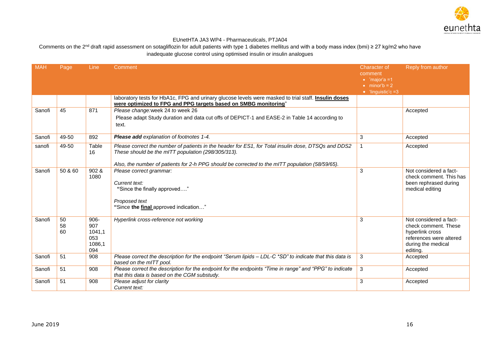

| <b>MAH</b> | Page           | Line                                             | Comment                                                                                                                                                                                                                                                      | <b>Character of</b><br>comment<br>$\bullet$ 'major'a =1<br>$\bullet$ minor'b = 2 | Reply from author                                                                                                              |
|------------|----------------|--------------------------------------------------|--------------------------------------------------------------------------------------------------------------------------------------------------------------------------------------------------------------------------------------------------------------|----------------------------------------------------------------------------------|--------------------------------------------------------------------------------------------------------------------------------|
|            |                |                                                  | laboratory tests for HbA1c, FPG and urinary glucose levels were masked to trial staff. <i>Insulin doses</i><br>were optimized to FPG and PPG targets based on SMBG monitoring"                                                                               | $\bullet$ 'linguistic'c =3                                                       |                                                                                                                                |
| Sanofi     | 45             | 871                                              | Please change: week 24 to week 26<br>Please adapt Study duration and data cut offs of DEPICT-1 and EASE-2 in Table 14 according to<br>text.                                                                                                                  |                                                                                  | Accepted                                                                                                                       |
| Sanofi     | 49-50          | 892                                              | Please add explanation of footnotes 1-4.                                                                                                                                                                                                                     | 3                                                                                | Accepted                                                                                                                       |
| sanofi     | 49-50          | Table<br>16                                      | Please correct the number of patients in the header for ES1, for Total insulin dose, DTSQs and DDS2<br>These should be the mITT population (298/305/313).<br>Also, the number of patients for 2-h PPG should be corrected to the mITT population (58/59/65). | 1                                                                                | Accepted                                                                                                                       |
| Sanofi     | 50 & 60        | 902 &<br>1080                                    | Please correct grammar:<br>Current text:<br>"Since the finally approved"<br>Proposed text<br>"Since the final approved indication"                                                                                                                           | 3                                                                                | Not considered a fact-<br>check comment. This has<br>been rephrased during<br>medical editing                                  |
| Sanofi     | 50<br>58<br>60 | $906 -$<br>907<br>1041,1<br>053<br>1086,1<br>094 | Hyperlink cross-reference not working                                                                                                                                                                                                                        | 3                                                                                | Not considered a fact-<br>check comment. These<br>hyperlink cross<br>references were altered<br>during the medical<br>editing. |
| Sanofi     | 51             | 908                                              | Please correct the description for the endpoint "Serum lipids - LDL-C *SD" to indicate that this data is<br>based on the mITT pool.                                                                                                                          | 3                                                                                | Accepted                                                                                                                       |
| Sanofi     | 51             | 908                                              | Please correct the description for the endpoint for the endpoints "Time in range" and "PPG" to indicate<br>that this data is based on the CGM substudy.                                                                                                      | 3                                                                                | Accepted                                                                                                                       |
| Sanofi     | 51             | 908                                              | Please adjust for clarity<br>Current text:                                                                                                                                                                                                                   | 3                                                                                | Accepted                                                                                                                       |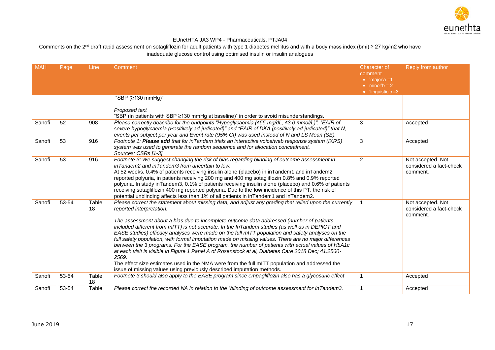

| <b>MAH</b> | Page  | Line        | Comment                                                                                                                                                                                                                                                                                                                                                                                                                                                                                                                                                                                                                                                                                                                                                                                                                                                                                                                                        | Character of<br>comment                                                      | Reply from author                                        |
|------------|-------|-------------|------------------------------------------------------------------------------------------------------------------------------------------------------------------------------------------------------------------------------------------------------------------------------------------------------------------------------------------------------------------------------------------------------------------------------------------------------------------------------------------------------------------------------------------------------------------------------------------------------------------------------------------------------------------------------------------------------------------------------------------------------------------------------------------------------------------------------------------------------------------------------------------------------------------------------------------------|------------------------------------------------------------------------------|----------------------------------------------------------|
|            |       |             |                                                                                                                                                                                                                                                                                                                                                                                                                                                                                                                                                                                                                                                                                                                                                                                                                                                                                                                                                | $\bullet$ 'major'a =1<br>$\bullet$ minor'b = 2<br>$\bullet$ 'linguistic'c =3 |                                                          |
|            |       |             | "SBP (≥130 mmHg)"                                                                                                                                                                                                                                                                                                                                                                                                                                                                                                                                                                                                                                                                                                                                                                                                                                                                                                                              |                                                                              |                                                          |
|            |       |             | Proposed text<br>"SBP (in patients with SBP ≥130 mmHg at baseline)" in order to avoid misunderstandings.                                                                                                                                                                                                                                                                                                                                                                                                                                                                                                                                                                                                                                                                                                                                                                                                                                       |                                                                              |                                                          |
| Sanofi     | 52    | 908         | Please correctly describe for the endpoints "Hypoglycaemia (≤55 mg/dL, ≤3.0 mmol/L)", "EAIR of<br>severe hypoglycaemia (Positively ad-judicated)" and "EAIR of DKA (positively ad-judicated)" that N,<br>events per subject per year and Event rate (95% CI) was used instead of N and LS Mean (SE).                                                                                                                                                                                                                                                                                                                                                                                                                                                                                                                                                                                                                                           | 3                                                                            | Accepted                                                 |
| Sanofi     | 53    | 916         | Footnote 1: Please add that for inTandem trials an interactive voice/web response system (IXRS)<br>system was used to generate the random sequence and for allocation concealment.<br>Sources: CSRs [1-3]                                                                                                                                                                                                                                                                                                                                                                                                                                                                                                                                                                                                                                                                                                                                      | 3                                                                            | Accepted                                                 |
| Sanofi     | 53    | 916         | Footnote 3: We suggest changing the risk of bias regarding blinding of outcome assessment in<br>inTandem2 and inTandem3 from uncertain to low.<br>At 52 weeks, 0.4% of patients receiving insulin alone (placebo) in inTandem1 and inTandem2<br>reported polyuria, in patients receiving 200 mg and 400 mg sotagliflozin 0.8% and 0.9% reported<br>polyuria. In study in Tandem3, 0.1% of patients receiving insulin alone (placebo) and 0.6% of patients<br>receiving sotagliflozin 400 mg reported polyuria. Due to the low incidence of this PT, the risk of<br>potential unblinding affects less than 1% of all patients in inTandem1 and inTandem2.                                                                                                                                                                                                                                                                                       | $\overline{2}$                                                               | Not accepted. Not<br>considered a fact-check<br>comment. |
| Sanofi     | 53-54 | Table<br>18 | Please correct the statement about missing data, and adjust any grading that relied upon the currently<br>reported interpretation.<br>The assessment about a bias due to incomplete outcome data addressed (number of patients<br>included different from mITT) is not accurate. In the InTandem studies (as well as in DEPICT and<br>EASE studies) efficacy analyses were made on the full mITT population and safety analyses on the<br>full safety population, with formal imputation made on missing values. There are no major differences<br>between the 3 programs. For the EASE program, the number of patients with actual values of HbA1c<br>at each visit is visible in Figure 1 Panel A of Rosenstock et al, Diabetes Care 2018 Dec; 41:2560-<br>2569.<br>The effect size estimates used in the NMA were from the full mITT population and addressed the<br>issue of missing values using previously described imputation methods. | $\mathbf{1}$                                                                 | Not accepted. Not<br>considered a fact-check<br>comment. |
| Sanofi     | 53-54 | Table<br>18 | Footnote 3 should also apply to the EASE program since empagliflozin also has a glycosuric effect                                                                                                                                                                                                                                                                                                                                                                                                                                                                                                                                                                                                                                                                                                                                                                                                                                              | 1                                                                            | Accepted                                                 |
| Sanofi     | 53-54 | Table       | Please correct the recorded NA in relation to the "blinding of outcome assessment for InTandem3.                                                                                                                                                                                                                                                                                                                                                                                                                                                                                                                                                                                                                                                                                                                                                                                                                                               | $\mathbf{1}$                                                                 | Accepted                                                 |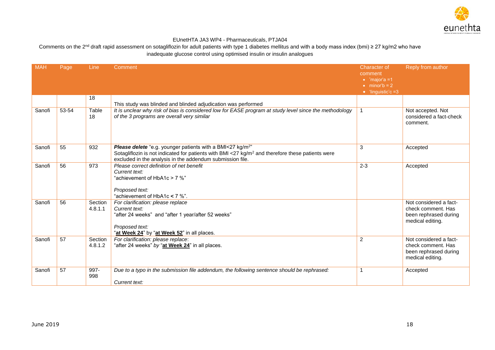

| <b>MAH</b> | Page  | Line               | Comment                                                                                                                                                                                                                                            | <b>Character of</b><br>comment<br>$\bullet$ 'major'a =1<br>$\bullet$ minor'b = 2<br>$\bullet$ 'linguistic'c =3 | Reply from author                                                                         |
|------------|-------|--------------------|----------------------------------------------------------------------------------------------------------------------------------------------------------------------------------------------------------------------------------------------------|----------------------------------------------------------------------------------------------------------------|-------------------------------------------------------------------------------------------|
|            |       | 18                 | This study was blinded and blinded adjudication was performed                                                                                                                                                                                      |                                                                                                                |                                                                                           |
| Sanofi     | 53-54 | Table<br>18        | It is unclear why risk of bias is considered low for EASE program at study level since the methodology<br>of the 3 programs are overall very similar                                                                                               | $\mathbf 1$                                                                                                    | Not accepted. Not<br>considered a fact-check<br>comment.                                  |
| Sanofi     | 55    | 932                | Please delete "e.g. younger patients with a BMI<27 kg/m <sup>2"</sup><br>Sotagliflozin is not indicated for patients with BMI <27 kg/m <sup>2</sup> and therefore these patients were<br>excluded in the analysis in the addendum submission file. | 3                                                                                                              | Accepted                                                                                  |
| Sanofi     | 56    | 973                | Please correct definition of net benefit<br>Current text:<br>"achievement of HbA1c > 7 %"<br>Proposed text:<br>"achievement of HbA1c < 7 %".                                                                                                       | $2 - 3$                                                                                                        | Accepted                                                                                  |
| Sanofi     | 56    | Section<br>4.8.1.1 | For clarification: please replace<br>Current text:<br>"after 24 weeks" and "after 1 year/after 52 weeks"<br>Proposed text:<br>"at Week 24" by "at Week 52" in all places.                                                                          |                                                                                                                | Not considered a fact-<br>check comment. Has<br>been rephrased during<br>medical editing. |
| Sanofi     | 57    | Section<br>4.8.1.2 | For clarification: please replace:<br>"after 24 weeks" by "at Week 24" in all places.                                                                                                                                                              | 2                                                                                                              | Not considered a fact-<br>check comment. Has<br>been rephrased during<br>medical editing. |
| Sanofi     | 57    | 997-<br>998        | Due to a typo in the submission file addendum, the following sentence should be rephrased:<br>Current text:                                                                                                                                        | 1                                                                                                              | Accepted                                                                                  |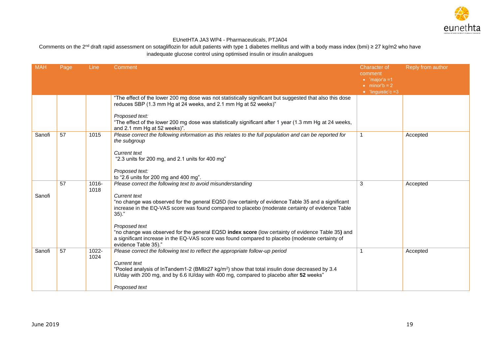

| <b>MAH</b> | Page | Line          | Comment                                                                                                                                                                                                                                       | <b>Character of</b><br>comment                                         | Reply from author |
|------------|------|---------------|-----------------------------------------------------------------------------------------------------------------------------------------------------------------------------------------------------------------------------------------------|------------------------------------------------------------------------|-------------------|
|            |      |               |                                                                                                                                                                                                                                               | $\bullet$ 'major'a =1<br>$\bullet$ minor'b = 2<br>• 'linguistic'c $=3$ |                   |
|            |      |               | "The effect of the lower 200 mg dose was not statistically significant but suggested that also this dose<br>reduces SBP (1.3 mm Hg at 24 weeks, and 2.1 mm Hg at 52 weeks)"                                                                   |                                                                        |                   |
|            |      |               | Proposed text:<br>"The effect of the lower 200 mg dose was statistically significant after 1 year (1.3 mm Hg at 24 weeks,<br>and 2.1 mm Hg at 52 weeks)".                                                                                     |                                                                        |                   |
| Sanofi     | 57   | 1015          | Please correct the following information as this relates to the full population and can be reported for<br>the subgroup                                                                                                                       | $\mathbf{1}$                                                           | Accepted          |
|            |      |               | <b>Current text</b><br>"2.3 units for 200 mg, and 2.1 units for 400 mg"                                                                                                                                                                       |                                                                        |                   |
|            |      |               | Proposed text:<br>to "2.6 units for 200 mg and 400 mg".                                                                                                                                                                                       |                                                                        |                   |
|            | 57   | 1016-<br>1018 | Please correct the following text to avoid misunderstanding                                                                                                                                                                                   | 3                                                                      | Accepted          |
| Sanofi     |      |               | <b>Current text</b><br>"no change was observed for the general EQ5D (low certainty of evidence Table 35 and a significant<br>increase in the EQ-VAS score was found compared to placebo (moderate certainty of evidence Table<br>$35).$ "     |                                                                        |                   |
|            |      |               | Proposed text<br>"no change was observed for the general EQ5D index score (low certainty of evidence Table 35) and<br>a significant increase in the EQ-VAS score was found compared to placebo (moderate certainty of<br>evidence Table 35)." |                                                                        |                   |
| Sanofi     | 57   | 1022-<br>1024 | Please correct the following text to reflect the appropriate follow-up period                                                                                                                                                                 | 1                                                                      | Accepted          |
|            |      |               | <b>Current text</b><br>"Pooled analysis of InTandem1-2 (BMI $\geq$ 27 kg/m <sup>2</sup> ) show that total insulin dose decreased by 3.4<br>IU/day with 200 mg, and by 6.6 IU/day with 400 mg, compared to placebo after 52 weeks"             |                                                                        |                   |
|            |      |               | Proposed text                                                                                                                                                                                                                                 |                                                                        |                   |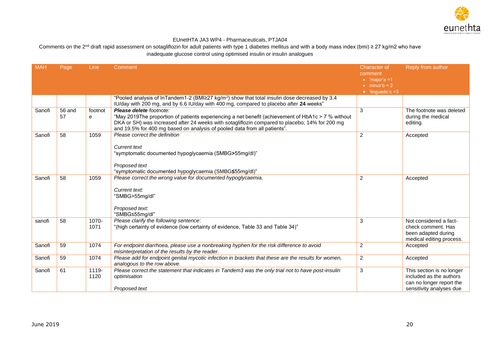

| <b>MAH</b> | Page         | Line          | Comment                                                                                                                                                                                                                                                                                                      | <b>Character of</b><br>comment<br>$\bullet$ 'major'a =1 | Reply from author                                                                                            |
|------------|--------------|---------------|--------------------------------------------------------------------------------------------------------------------------------------------------------------------------------------------------------------------------------------------------------------------------------------------------------------|---------------------------------------------------------|--------------------------------------------------------------------------------------------------------------|
|            |              |               |                                                                                                                                                                                                                                                                                                              | $\bullet$ minor'b = 2<br>$\bullet$ 'linguistic'c =3     |                                                                                                              |
|            |              |               | "Pooled analysis of InTandem1-2 (BMI $\geq$ 27 kg/m <sup>2</sup> ) show that total insulin dose decreased by 3.4<br>IU/day with 200 mg, and by 6.6 IU/day with 400 mg, compared to placebo after 24 weeks"                                                                                                   |                                                         |                                                                                                              |
| Sanofi     | 56 and<br>57 | footnot<br>е  | Please delete footnote:<br>"May 2019The proportion of patients experiencing a net benefit (achievement of HbA1c > 7 % without<br>DKA or SH) was increased after 24 weeks with sotagliflozin compared to placebo; 14% for 200 mg<br>and 19.5% for 400 mg based on analysis of pooled data from all patients". | 3                                                       | The footnote was deleted<br>during the medical<br>editing.                                                   |
| Sanofi     | 58           | 1059          | Please correct the definition<br><b>Current text</b><br>"symptomatic documented hypoglycaemia (SMBG>55mg/dl)"<br>Proposed text<br>"symptomatic documented hypoglycaemia (SMBG≤55mg/dl)"                                                                                                                      | $\overline{2}$                                          | Accepted                                                                                                     |
| Sanofi     | 58           | 1059          | Please correct the wrong value for documented hypoglycaemia.<br>Current text:<br>"SMBG>55mg/dl"<br>Proposed text:<br>"SMBG≤55mg/dl"                                                                                                                                                                          | $\overline{2}$                                          | Accepted                                                                                                     |
| sanofi     | 58           | 1070-<br>1071 | Please clarify the following sentence:<br>"(high certainty of evidence (low certainty of evidence, Table 33 and Table 34)"                                                                                                                                                                                   | 3                                                       | Not considered a fact-<br>check comment. Has<br>been adapted during<br>medical editing process.              |
| Sanofi     | 59           | 1074          | For endpoint diarrhoea, please use a nonbreaking hyphen for the risk difference to avoid<br>misinterpretation of the results by the reader.                                                                                                                                                                  | $\overline{2}$                                          | Accepted                                                                                                     |
| Sanofi     | 59           | 1074          | Please add for endpoint genital mycotic infection in brackets that these are the results for women,<br>analogous to the row above.                                                                                                                                                                           | $\overline{2}$                                          | Accepted                                                                                                     |
| Sanofi     | 61           | 1119-<br>1120 | Please correct the statement that indicates in Tandem3 was the only trial not to have post-insulin<br>optimisation<br>Proposed text                                                                                                                                                                          | 3                                                       | This section is no longer<br>included as the authors<br>can no longer report the<br>sensitivity analyses due |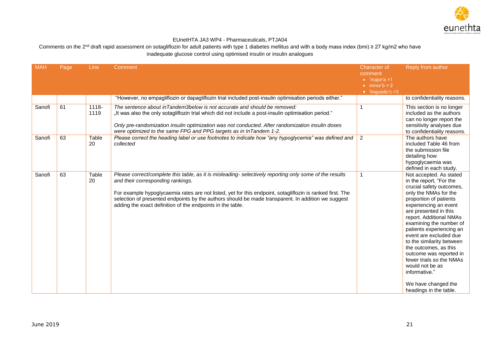

| <b>MAH</b> | Page | <b>Line</b>   | Comment                                                                                                                                                                                                                                                                                                                                                                                                                       | <b>Character of</b><br>comment<br>$\bullet$ 'major'a =1<br>$\bullet$ minor'b = 2<br>$\bullet$ 'linguistic'c =3 | Reply from author                                                                                                                                                                                                                                                                                                                                                                                                                                                                                 |
|------------|------|---------------|-------------------------------------------------------------------------------------------------------------------------------------------------------------------------------------------------------------------------------------------------------------------------------------------------------------------------------------------------------------------------------------------------------------------------------|----------------------------------------------------------------------------------------------------------------|---------------------------------------------------------------------------------------------------------------------------------------------------------------------------------------------------------------------------------------------------------------------------------------------------------------------------------------------------------------------------------------------------------------------------------------------------------------------------------------------------|
|            |      |               | "However, no empagliflozin or dapagliflozin trial included post-insulin optimisation periods either."                                                                                                                                                                                                                                                                                                                         |                                                                                                                | to confidentiality reasons.                                                                                                                                                                                                                                                                                                                                                                                                                                                                       |
| Sanofi     | 61   | 1118-<br>1119 | The sentence about in Tandem3below is not accurate and should be removed:<br>". It was also the only sotagliflozin trial which did not include a post-insulin optimisation period,<br>Only pre-randomization insulin optimization was not conducted. After randomization insulin doses<br>were optimized to the same FPG and PPG targets as in InTandem 1-2.                                                                  | -1                                                                                                             | This section is no longer<br>included as the authors<br>can no longer report the<br>sensitivity analyses due<br>to confidentiality reasons.                                                                                                                                                                                                                                                                                                                                                       |
| Sanofi     | 63   | Table<br>20   | Please correct the heading label or use footnotes to indicate how "any hypoglycemia" was defined and<br>collected                                                                                                                                                                                                                                                                                                             | $\overline{2}$                                                                                                 | The authors have<br>included Table 46 from<br>the submission file<br>detailing how<br>hypoglycaemia was<br>defined in each study.                                                                                                                                                                                                                                                                                                                                                                 |
| Sanofi     | 63   | Table<br>20   | Please correct/complete this table, as it is misleading- selectively reporting only some of the results<br>and their corresponding rankings.<br>For example hypoglycaemia rates are not listed, yet for this endpoint, sotagliflozin is ranked first. The<br>selection of presented endpoints by the authors should be made transparent. In addition we suggest<br>adding the exact definition of the endpoints in the table. | $\mathbf{1}$                                                                                                   | Not accepted. As stated<br>in the report, "For the<br>crucial safety outcomes,<br>only the NMAs for the<br>proportion of patients<br>experiencing an event<br>are presented in this<br>report. Additional NMAs<br>examining the number of<br>patients experiencing an<br>event are excluded due<br>to the similarity between<br>the outcomes, as this<br>outcome was reported in<br>fewer trials so the NMAs<br>would not be as<br>informative."<br>We have changed the<br>headings in the table. |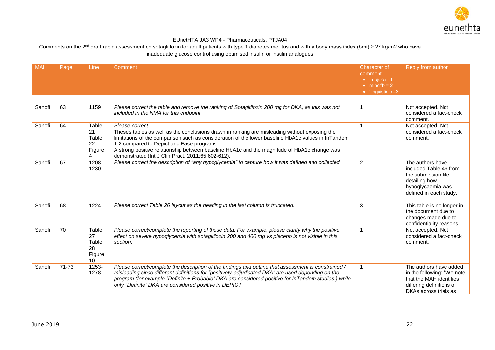

| <b>MAH</b> | Page  | <b>Line</b>                                             | Comment                                                                                                                                                                                                                                                                                                                                                                                                                | <b>Character of</b><br>comment<br>$\bullet$ 'major'a =1<br>$\bullet$ minor'b = 2<br>$\bullet$ 'linguistic'c =3 | Reply from author                                                                                                                    |
|------------|-------|---------------------------------------------------------|------------------------------------------------------------------------------------------------------------------------------------------------------------------------------------------------------------------------------------------------------------------------------------------------------------------------------------------------------------------------------------------------------------------------|----------------------------------------------------------------------------------------------------------------|--------------------------------------------------------------------------------------------------------------------------------------|
|            |       |                                                         |                                                                                                                                                                                                                                                                                                                                                                                                                        |                                                                                                                |                                                                                                                                      |
| Sanofi     | 63    | 1159                                                    | Please correct the table and remove the ranking of Sotagliflozin 200 mg for DKA, as this was not<br>included in the NMA for this endpoint.                                                                                                                                                                                                                                                                             | 1                                                                                                              | Not accepted. Not<br>considered a fact-check<br>comment.                                                                             |
| Sanofi     | 64    | Table<br>21<br>Table<br>22<br>Figure<br>4               | Please correct<br>Theses tables as well as the conclusions drawn in ranking are misleading without exposing the<br>limitations of the comparison such as consideration of the lower baseline HbA1c values in InTandem<br>1-2 compared to Depict and Ease programs.<br>A strong positive relationship between baseline HbA1c and the magnitude of HbA1c change was<br>demonstrated (Int J Clin Pract. 2011;65:602-612). | 1                                                                                                              | Not accepted. Not<br>considered a fact-check<br>comment.                                                                             |
| Sanofi     | 67    | 1208-<br>1230                                           | Please correct the description of "any hypoglycemia" to capture how it was defined and collected                                                                                                                                                                                                                                                                                                                       | $\overline{c}$                                                                                                 | The authors have<br>included Table 46 from<br>the submission file<br>detailing how<br>hypoglycaemia was<br>defined in each study.    |
| Sanofi     | 68    | 1224                                                    | Please correct Table 26 layout as the heading in the last column is truncated.                                                                                                                                                                                                                                                                                                                                         | 3                                                                                                              | This table is no longer in<br>the document due to<br>changes made due to<br>confidentiality reasons.                                 |
| Sanofi     | 70    | Table<br>27<br>Table<br>28<br>Figure<br>10 <sup>°</sup> | Please correct/complete the reporting of these data. For example, please clarify why the positive<br>effect on severe hypoglycemia with sotagliflozin 200 and 400 mg vs placebo is not visible in this<br>section.                                                                                                                                                                                                     | $\mathbf{1}$                                                                                                   | Not accepted. Not<br>considered a fact-check<br>comment.                                                                             |
| Sanofi     | 71-73 | 1253-<br>1278                                           | Please correct/complete the description of the findings and outline that assessment is constrained /<br>misleading since different definitions for "positively-adjudicated DKA" are used depending on the<br>program (for example "Definite + Probable" DKA are considered positive for InTandem studies) while<br>only "Definite" DKA are considered positive in DEPICT                                               | 1                                                                                                              | The authors have added<br>in the following: "We note<br>that the MAH identifies<br>differing definitions of<br>DKAs across trials as |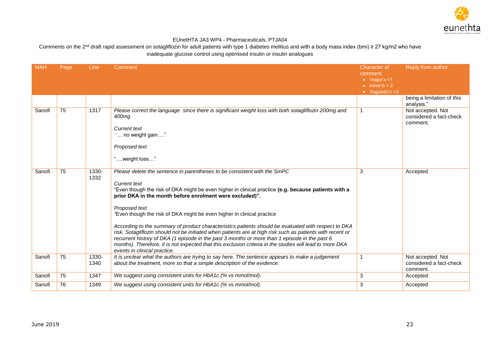

| <b>MAH</b> | Page | Line          | Comment                                                                                                                                                                                                                                                                                                                                                                                                                                                                                                                                   | <b>Character of</b><br>comment<br>$\bullet$ 'major'a =1 | Reply from author                                        |
|------------|------|---------------|-------------------------------------------------------------------------------------------------------------------------------------------------------------------------------------------------------------------------------------------------------------------------------------------------------------------------------------------------------------------------------------------------------------------------------------------------------------------------------------------------------------------------------------------|---------------------------------------------------------|----------------------------------------------------------|
|            |      |               |                                                                                                                                                                                                                                                                                                                                                                                                                                                                                                                                           | $\bullet$ minor'b = 2<br>$\bullet$ 'linguistic'c =3     |                                                          |
|            |      |               |                                                                                                                                                                                                                                                                                                                                                                                                                                                                                                                                           |                                                         | being a limitation of this<br>analysis."                 |
| Sanofi     | 75   | 1317          | Please correct the language since there is significant weight loss with both sotagliflozin 200mg and<br>400mg                                                                                                                                                                                                                                                                                                                                                                                                                             | 1                                                       | Not accepted. Not<br>considered a fact-check<br>comment. |
|            |      |               | <b>Current text</b><br>" no weight gain"                                                                                                                                                                                                                                                                                                                                                                                                                                                                                                  |                                                         |                                                          |
|            |      |               | Proposed text                                                                                                                                                                                                                                                                                                                                                                                                                                                                                                                             |                                                         |                                                          |
|            |      |               | 'weight loss"                                                                                                                                                                                                                                                                                                                                                                                                                                                                                                                             |                                                         |                                                          |
| Sanofi     | 75   | 1330-<br>1332 | Please delete the sentence in parentheses to be consistent with the SmPC<br><b>Current text</b><br>"Even though the risk of DKA might be even higher in clinical practice (e.g. because patients with a<br>prior DKA in the month before enrolment were excluded)".<br>Proposed text                                                                                                                                                                                                                                                      | 3                                                       | Accepted                                                 |
|            |      |               | "Even though the risk of DKA might be even higher in clinical practice<br>According to the summary of product characteristics patients should be evaluated with respect to DKA<br>risk. Sotagliflozin should not be initiated when patients are at high risk such as patients with recent or<br>recurrent history of DKA (1 episode in the past 3 months or more than 1 episode in the past 6<br>months). Therefore, it is not expected that this exclusion criteria in the studies will lead to more DKA<br>events in clinical practice. |                                                         |                                                          |
| Sanofi     | 75   | 1330-<br>1340 | It is unclear what the authors are trying to say here. The sentence appears to make a judgement<br>about the treatment, more so that a simple description of the evidence.                                                                                                                                                                                                                                                                                                                                                                | 1                                                       | Not accepted. Not<br>considered a fact-check<br>comment. |
| Sanofi     | 75   | 1347          | We suggest using consistent units for HbA1c (% vs mmol/mol).                                                                                                                                                                                                                                                                                                                                                                                                                                                                              | 3                                                       | Accepted                                                 |
| Sanofi     | 76   | 1349          | We suggest using consistent units for HbA1c (% vs mmol/mol).                                                                                                                                                                                                                                                                                                                                                                                                                                                                              | 3                                                       | Accepted                                                 |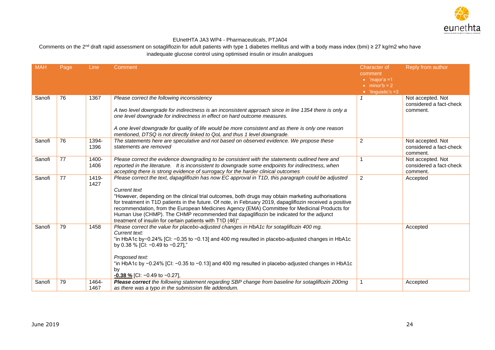

| <b>MAH</b> | Page | <b>Line</b> | Comment                                                                                                                                                                                                    | <b>Character of</b>                            | Reply from author             |
|------------|------|-------------|------------------------------------------------------------------------------------------------------------------------------------------------------------------------------------------------------------|------------------------------------------------|-------------------------------|
|            |      |             |                                                                                                                                                                                                            | comment                                        |                               |
|            |      |             |                                                                                                                                                                                                            | $\bullet$ 'major'a =1<br>$\bullet$ minor'b = 2 |                               |
|            |      |             |                                                                                                                                                                                                            | $\bullet$ 'linguistic'c =3                     |                               |
| Sanofi     | 76   | 1367        | Please correct the following inconsistency                                                                                                                                                                 |                                                | Not accepted. Not             |
|            |      |             |                                                                                                                                                                                                            |                                                | considered a fact-check       |
|            |      |             | A two level downgrade for indirectness is an inconsistent approach since in line 1354 there is only a                                                                                                      |                                                | comment.                      |
|            |      |             | one level downgrade for indirectness in effect on hard outcome measures.                                                                                                                                   |                                                |                               |
|            |      |             | A one level downgrade for quality of life would be more consistent and as there is only one reason                                                                                                         |                                                |                               |
|            |      |             | mentioned, DTSQ is not directly linked to QoL and thus 1 level downgrade.                                                                                                                                  |                                                |                               |
| Sanofi     | 76   | 1394-       | The statements here are speculative and not based on observed evidence. We propose these                                                                                                                   | 2                                              | Not accepted. Not             |
|            |      | 1396        | statements are removed                                                                                                                                                                                     |                                                | considered a fact-check       |
| Sanofi     | 77   | 1400-       | Please correct the evidence downgrading to be consistent with the statements outlined here and                                                                                                             | 1                                              | comment.<br>Not accepted. Not |
|            |      | 1406        | reported in the literature. It is inconsistent to downgrade some endpoints for indirectness, when                                                                                                          |                                                | considered a fact-check       |
|            |      |             | accepting there is strong evidence of surrogacy for the harder clinical outcomes                                                                                                                           |                                                | comment.                      |
| Sanofi     | 77   | 1419-       | Please correct the text, dapagliflozin has now EC approval in T1D, this paragraph could be adjusted                                                                                                        | $\overline{2}$                                 | Accepted                      |
|            |      | 1427        |                                                                                                                                                                                                            |                                                |                               |
|            |      |             | Current text                                                                                                                                                                                               |                                                |                               |
|            |      |             | "However, depending on the clinical trial outcomes, both drugs may obtain marketing authorisations                                                                                                         |                                                |                               |
|            |      |             | for treatment in T1D patients in the future. Of note, in February 2019, dapagliflozin received a positive<br>recommendation, from the European Medicines Agency (EMA) Committee for Medicinal Products for |                                                |                               |
|            |      |             | Human Use (CHMP). The CHMP recommended that dapagliflozin be indicated for the adjunct                                                                                                                     |                                                |                               |
|            |      |             | treatment of insulin for certain patients with T1D (46)"                                                                                                                                                   |                                                |                               |
| Sanofi     | 79   | 1458        | Please correct the value for placebo-adjusted changes in HbA1c for sotagliflozin 400 mg.                                                                                                                   |                                                | Accepted                      |
|            |      |             | Current text:                                                                                                                                                                                              |                                                |                               |
|            |      |             | "in HbA1c by-0.24% [Cl: -0.35 to -0.13] and 400 mg resulted in placebo-adjusted changes in HbA1c                                                                                                           |                                                |                               |
|            |      |             | by 0.38 % [CI: -0.49 to -0.27],"                                                                                                                                                                           |                                                |                               |
|            |      |             | Proposed text:                                                                                                                                                                                             |                                                |                               |
|            |      |             | "in HbA1c by -0.24% [Cl: -0.35 to -0.13] and 400 mg resulted in placebo-adjusted changes in HbA1c                                                                                                          |                                                |                               |
|            |      |             | by                                                                                                                                                                                                         |                                                |                               |
|            |      |             | $-0.38\%$ [CI: -0.49 to -0.27],                                                                                                                                                                            |                                                |                               |
| Sanofi     | 79   | 1464-       | Please correct the following statement regarding SBP change from baseline for sotagliflozin 200mg                                                                                                          | 1                                              | Accepted                      |
|            |      | 1467        | as there was a typo in the submission file addendum.                                                                                                                                                       |                                                |                               |